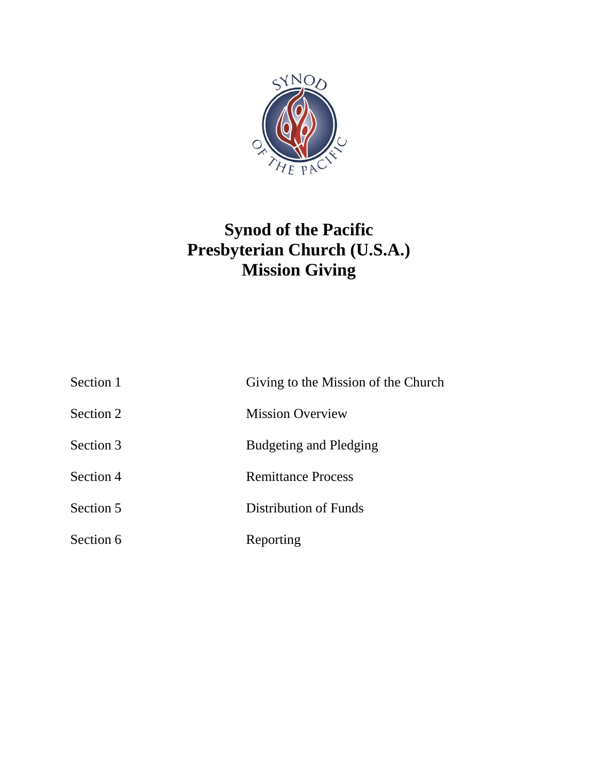

# **Synod of the Pacific Presbyterian Church (U.S.A.) Mission Giving**

| Section 1 | Giving to the Mission of the Church |
|-----------|-------------------------------------|
| Section 2 | <b>Mission Overview</b>             |
| Section 3 | Budgeting and Pledging              |
| Section 4 | <b>Remittance Process</b>           |
| Section 5 | Distribution of Funds               |
| Section 6 | Reporting                           |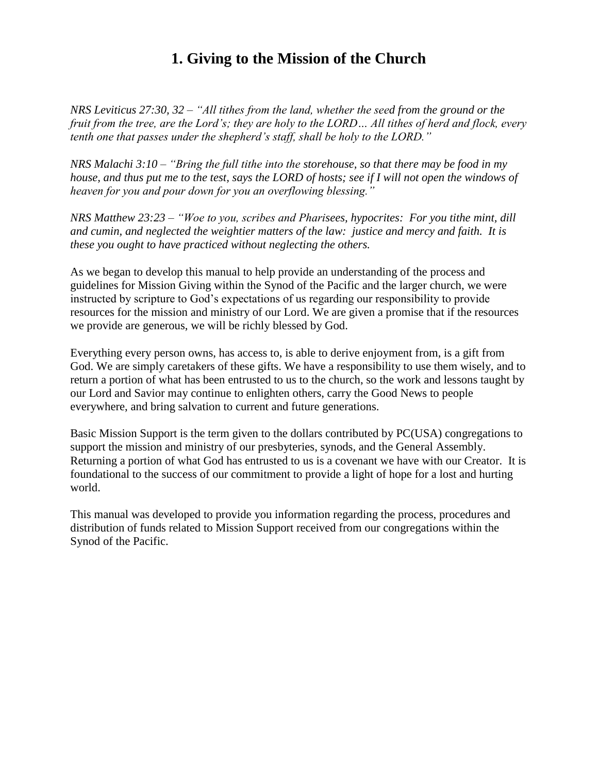## **1. Giving to the Mission of the Church**

*NRS Leviticus 27:30, 32 – "All tithes from the land, whether the seed from the ground or the fruit from the tree, are the Lord's; they are holy to the LORD… All tithes of herd and flock, every tenth one that passes under the shepherd's staff, shall be holy to the LORD."*

*NRS Malachi 3:10 – "Bring the full tithe into the storehouse, so that there may be food in my house, and thus put me to the test, says the LORD of hosts; see if I will not open the windows of heaven for you and pour down for you an overflowing blessing."*

*NRS Matthew 23:23 – "Woe to you, scribes and Pharisees, hypocrites: For you tithe mint, dill and cumin, and neglected the weightier matters of the law: justice and mercy and faith. It is these you ought to have practiced without neglecting the others.*

As we began to develop this manual to help provide an understanding of the process and guidelines for Mission Giving within the Synod of the Pacific and the larger church, we were instructed by scripture to God's expectations of us regarding our responsibility to provide resources for the mission and ministry of our Lord. We are given a promise that if the resources we provide are generous, we will be richly blessed by God.

Everything every person owns, has access to, is able to derive enjoyment from, is a gift from God. We are simply caretakers of these gifts. We have a responsibility to use them wisely, and to return a portion of what has been entrusted to us to the church, so the work and lessons taught by our Lord and Savior may continue to enlighten others, carry the Good News to people everywhere, and bring salvation to current and future generations.

Basic Mission Support is the term given to the dollars contributed by PC(USA) congregations to support the mission and ministry of our presbyteries, synods, and the General Assembly. Returning a portion of what God has entrusted to us is a covenant we have with our Creator. It is foundational to the success of our commitment to provide a light of hope for a lost and hurting world.

This manual was developed to provide you information regarding the process, procedures and distribution of funds related to Mission Support received from our congregations within the Synod of the Pacific.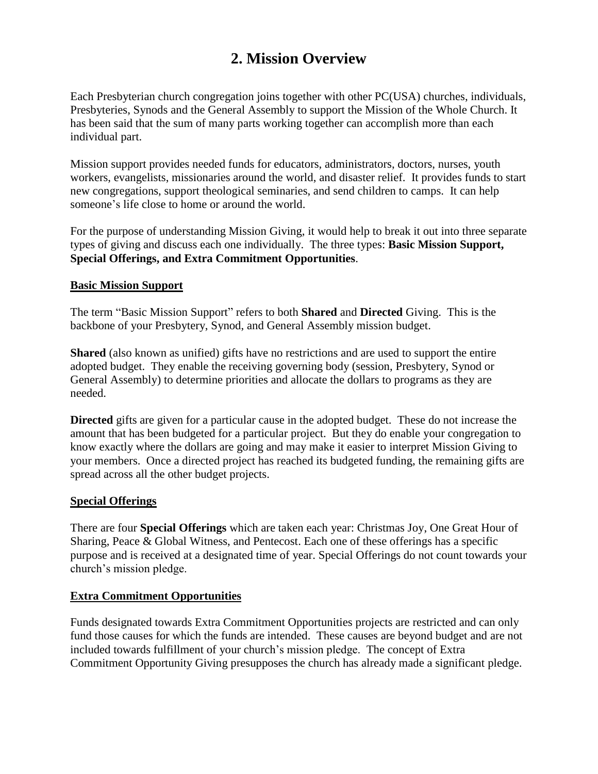## **2. Mission Overview**

Each Presbyterian church congregation joins together with other PC(USA) churches, individuals, Presbyteries, Synods and the General Assembly to support the Mission of the Whole Church. It has been said that the sum of many parts working together can accomplish more than each individual part.

Mission support provides needed funds for educators, administrators, doctors, nurses, youth workers, evangelists, missionaries around the world, and disaster relief. It provides funds to start new congregations, support theological seminaries, and send children to camps. It can help someone's life close to home or around the world.

For the purpose of understanding Mission Giving, it would help to break it out into three separate types of giving and discuss each one individually. The three types: **Basic Mission Support, Special Offerings, and Extra Commitment Opportunities**.

#### **Basic Mission Support**

The term "Basic Mission Support" refers to both **Shared** and **Directed** Giving. This is the backbone of your Presbytery, Synod, and General Assembly mission budget.

**Shared** (also known as unified) gifts have no restrictions and are used to support the entire adopted budget. They enable the receiving governing body (session, Presbytery, Synod or General Assembly) to determine priorities and allocate the dollars to programs as they are needed.

**Directed** gifts are given for a particular cause in the adopted budget. These do not increase the amount that has been budgeted for a particular project. But they do enable your congregation to know exactly where the dollars are going and may make it easier to interpret Mission Giving to your members. Once a directed project has reached its budgeted funding, the remaining gifts are spread across all the other budget projects.

#### **Special Offerings**

There are four **Special Offerings** which are taken each year: Christmas Joy, One Great Hour of Sharing, Peace & Global Witness, and Pentecost. Each one of these offerings has a specific purpose and is received at a designated time of year. Special Offerings do not count towards your church's mission pledge.

#### **Extra Commitment Opportunities**

Funds designated towards Extra Commitment Opportunities projects are restricted and can only fund those causes for which the funds are intended. These causes are beyond budget and are not included towards fulfillment of your church's mission pledge. The concept of Extra Commitment Opportunity Giving presupposes the church has already made a significant pledge.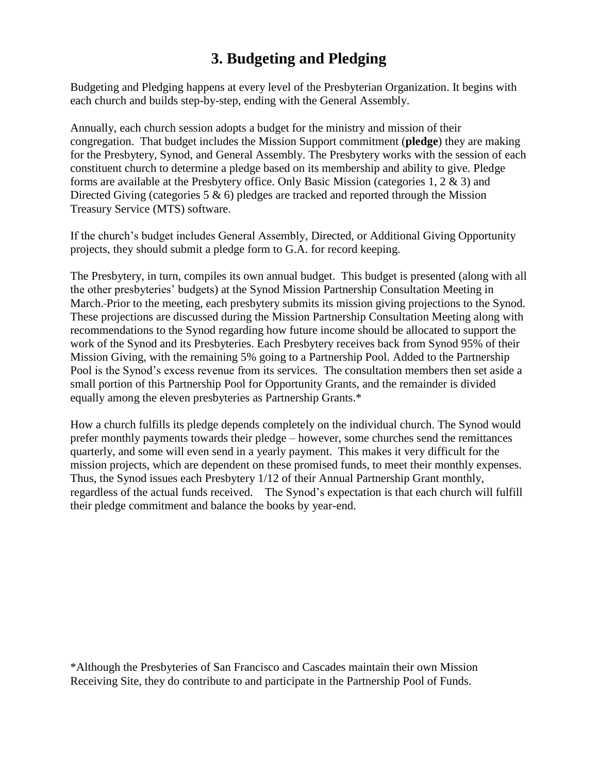## **3. Budgeting and Pledging**

Budgeting and Pledging happens at every level of the Presbyterian Organization. It begins with each church and builds step-by-step, ending with the General Assembly.

Annually, each church session adopts a budget for the ministry and mission of their congregation. That budget includes the Mission Support commitment (**pledge**) they are making for the Presbytery, Synod, and General Assembly. The Presbytery works with the session of each constituent church to determine a pledge based on its membership and ability to give. Pledge forms are available at the Presbytery office. Only Basic Mission (categories 1, 2 & 3) and Directed Giving (categories  $5 \& 6$ ) pledges are tracked and reported through the Mission Treasury Service (MTS) software.

If the church's budget includes General Assembly, Directed, or Additional Giving Opportunity projects, they should submit a pledge form to G.A. for record keeping.

The Presbytery, in turn, compiles its own annual budget. This budget is presented (along with all the other presbyteries' budgets) at the Synod Mission Partnership Consultation Meeting in March. Prior to the meeting, each presbytery submits its mission giving projections to the Synod. These projections are discussed during the Mission Partnership Consultation Meeting along with recommendations to the Synod regarding how future income should be allocated to support the work of the Synod and its Presbyteries. Each Presbytery receives back from Synod 95% of their Mission Giving, with the remaining 5% going to a Partnership Pool. Added to the Partnership Pool is the Synod's excess revenue from its services. The consultation members then set aside a small portion of this Partnership Pool for Opportunity Grants, and the remainder is divided equally among the eleven presbyteries as Partnership Grants.\*

How a church fulfills its pledge depends completely on the individual church. The Synod would prefer monthly payments towards their pledge – however, some churches send the remittances quarterly, and some will even send in a yearly payment. This makes it very difficult for the mission projects, which are dependent on these promised funds, to meet their monthly expenses. Thus, the Synod issues each Presbytery 1/12 of their Annual Partnership Grant monthly, regardless of the actual funds received. The Synod's expectation is that each church will fulfill their pledge commitment and balance the books by year-end.

\*Although the Presbyteries of San Francisco and Cascades maintain their own Mission Receiving Site, they do contribute to and participate in the Partnership Pool of Funds.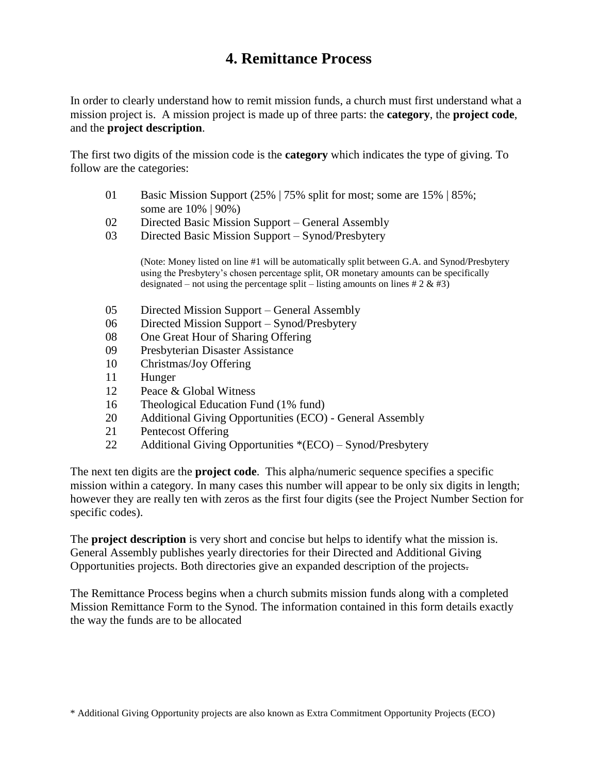## **4. Remittance Process**

In order to clearly understand how to remit mission funds, a church must first understand what a mission project is. A mission project is made up of three parts: the **category**, the **project code**, and the **project description**.

The first two digits of the mission code is the **category** which indicates the type of giving. To follow are the categories:

- 01 Basic Mission Support (25% | 75% split for most; some are 15% | 85%; some are 10% | 90%)
- 02 Directed Basic Mission Support General Assembly
- 03 Directed Basic Mission Support Synod/Presbytery

(Note: Money listed on line #1 will be automatically split between G.A. and Synod/Presbytery using the Presbytery's chosen percentage split, OR monetary amounts can be specifically designated – not using the percentage split – listing amounts on lines  $\# 2 \& \# 3$ )

- 05 Directed Mission Support General Assembly
- 06 Directed Mission Support Synod/Presbytery
- 08 One Great Hour of Sharing Offering
- 09 Presbyterian Disaster Assistance
- 10 Christmas/Joy Offering
- 11 Hunger
- 12 Peace & Global Witness
- 16 Theological Education Fund (1% fund)
- 20 Additional Giving Opportunities (ECO) General Assembly
- 21 Pentecost Offering
- 22 Additional Giving Opportunities \*(ECO) Synod/Presbytery

The next ten digits are the **project code**. This alpha/numeric sequence specifies a specific mission within a category. In many cases this number will appear to be only six digits in length; however they are really ten with zeros as the first four digits (see the Project Number Section for specific codes).

The **project description** is very short and concise but helps to identify what the mission is. General Assembly publishes yearly directories for their Directed and Additional Giving Opportunities projects. Both directories give an expanded description of the projects.

The Remittance Process begins when a church submits mission funds along with a completed Mission Remittance Form to the Synod. The information contained in this form details exactly the way the funds are to be allocated

\* Additional Giving Opportunity projects are also known as Extra Commitment Opportunity Projects (ECO)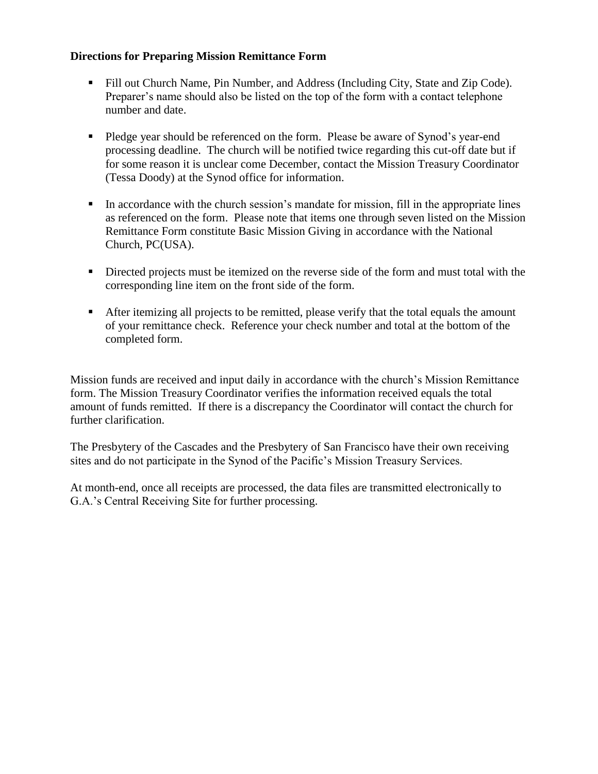#### **Directions for Preparing Mission Remittance Form**

- Fill out Church Name, Pin Number, and Address (Including City, State and Zip Code). Preparer's name should also be listed on the top of the form with a contact telephone number and date.
- Pledge year should be referenced on the form. Please be aware of Synod's year-end processing deadline. The church will be notified twice regarding this cut-off date but if for some reason it is unclear come December, contact the Mission Treasury Coordinator (Tessa Doody) at the Synod office for information.
- In accordance with the church session's mandate for mission, fill in the appropriate lines as referenced on the form. Please note that items one through seven listed on the Mission Remittance Form constitute Basic Mission Giving in accordance with the National Church, PC(USA).
- Directed projects must be itemized on the reverse side of the form and must total with the corresponding line item on the front side of the form.
- After itemizing all projects to be remitted, please verify that the total equals the amount of your remittance check. Reference your check number and total at the bottom of the completed form.

Mission funds are received and input daily in accordance with the church's Mission Remittance form. The Mission Treasury Coordinator verifies the information received equals the total amount of funds remitted. If there is a discrepancy the Coordinator will contact the church for further clarification.

The Presbytery of the Cascades and the Presbytery of San Francisco have their own receiving sites and do not participate in the Synod of the Pacific's Mission Treasury Services.

At month-end, once all receipts are processed, the data files are transmitted electronically to G.A.'s Central Receiving Site for further processing.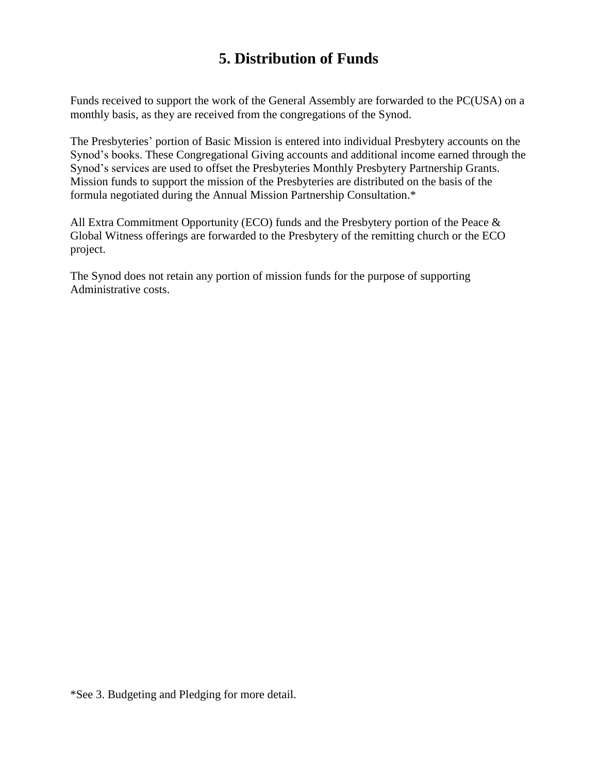### **5. Distribution of Funds**

Funds received to support the work of the General Assembly are forwarded to the PC(USA) on a monthly basis, as they are received from the congregations of the Synod.

The Presbyteries' portion of Basic Mission is entered into individual Presbytery accounts on the Synod's books. These Congregational Giving accounts and additional income earned through the Synod's services are used to offset the Presbyteries Monthly Presbytery Partnership Grants. Mission funds to support the mission of the Presbyteries are distributed on the basis of the formula negotiated during the Annual Mission Partnership Consultation.\*

All Extra Commitment Opportunity (ECO) funds and the Presbytery portion of the Peace & Global Witness offerings are forwarded to the Presbytery of the remitting church or the ECO project.

The Synod does not retain any portion of mission funds for the purpose of supporting Administrative costs.